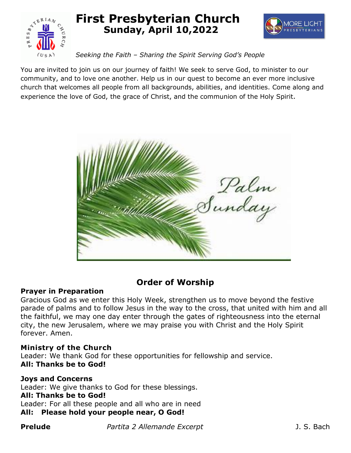

# **First Presbyterian Church Sunday, April 10,2022**



# *Seeking the Faith – Sharing the Spirit Serving God's People*

You are invited to join us on our journey of faith! We seek to serve God, to minister to our community, and to love one another. Help us in our quest to become an ever more inclusive church that welcomes all people from all backgrounds, abilities, and identities. Come along and experience the love of God, the grace of Christ, and the communion of the Holy Spirit.



# **Order of Worship**

# **Prayer in Preparation**

Gracious God as we enter this Holy Week, strengthen us to move beyond the festive parade of palms and to follow Jesus in the way to the cross, that united with him and all the faithful, we may one day enter through the gates of righteousness into the eternal city, the new Jerusalem, where we may praise you with Christ and the Holy Spirit forever. Amen.

# **Ministry of the Church**

Leader: We thank God for these opportunities for fellowship and service. **All: Thanks be to God!**

# **Joys and Concerns**

Leader: We give thanks to God for these blessings.

# **All: Thanks be to God!**

Leader: For all these people and all who are in need

# **All: Please hold your people near, O God!**

**Prelude** *Partita 2 Allemande Excerpt Prelude* J. S. Bach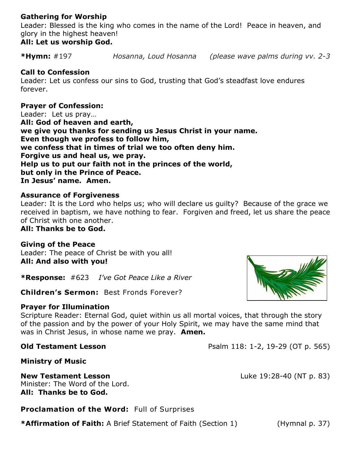# **Gathering for Worship**

Leader: Blessed is the king who comes in the name of the Lord! Peace in heaven, and glory in the highest heaven!

# **All: Let us worship God.**

**\*Hymn:** #197 *Hosanna, Loud Hosanna (please wave palms during vv. 2-3*

# **Call to Confession**

Leader: Let us confess our sins to God, trusting that God's steadfast love endures forever.

# **Prayer of Confession:**

Leader: Let us pray… **All: God of heaven and earth, we give you thanks for sending us Jesus Christ in your name. Even though we profess to follow him, we confess that in times of trial we too often deny him. Forgive us and heal us, we pray. Help us to put our faith not in the princes of the world, but only in the Prince of Peace. In Jesus' name. Amen.** 

# **Assurance of Forgiveness**

Leader: It is the Lord who helps us; who will declare us guilty? Because of the grace we received in baptism, we have nothing to fear. Forgiven and freed, let us share the peace of Christ with one another.

**All: Thanks be to God.**

**Giving of the Peace** Leader: The peace of Christ be with you all! **All: And also with you!**

**\*Response:** #623 *I've Got Peace Like a River*

**Children's Sermon:** Best Fronds Forever?

# **Prayer for Illumination**

Scripture Reader: Eternal God, quiet within us all mortal voices, that through the story of the passion and by the power of your Holy Spirit, we may have the same mind that was in Christ Jesus, in whose name we pray. **Amen.** 

**Old Testament Lesson Psalm 118: 1-2, 19-29 (OT p. 565)** 

**Ministry of Music**

# **New Testament Lesson** Luke 19:28-40 (NT p. 83) Minister: The Word of the Lord.

**All: Thanks be to God.**

**Proclamation of the Word:** Full of Surprises

**\*Affirmation of Faith:** A Brief Statement of Faith (Section 1) (Hymnal p. 37)

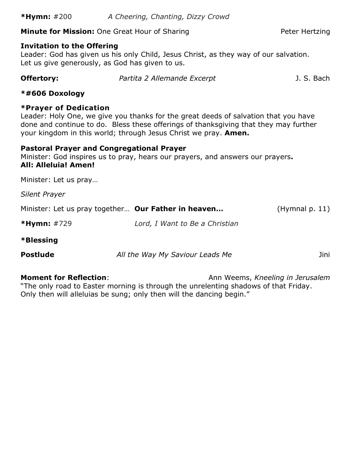# **Minute for Mission:** One Great Hour of Sharing **Peter Hertzing** Peter Hertzing

#### **Invitation to the Offering**

Leader: God has given us his only Child, Jesus Christ, as they way of our salvation. Let us give generously, as God has given to us.

| Offertory: | Partita 2 Allemande Excerpt | J. S. Bach |
|------------|-----------------------------|------------|
|            |                             |            |

#### **\*#606 Doxology**

# **\*Prayer of Dedication**

Leader: Holy One, we give you thanks for the great deeds of salvation that you have done and continue to do. Bless these offerings of thanksgiving that they may further your kingdom in this world; through Jesus Christ we pray. **Amen.**

# **Pastoral Prayer and Congregational Prayer**

Minister: God inspires us to pray, hears our prayers, and answers our prayers**. All: Alleluia! Amen!**

Minister: Let us pray…

*Silent Prayer*

| Minister: Let us pray together Our Father in heaven |                                | (Hymnal p. 11) |
|-----------------------------------------------------|--------------------------------|----------------|
| <b>*Hymn:</b> $\#729$                               | Lord, I Want to Be a Christian |                |
| *Blessing                                           |                                |                |

**Postlude** *All the Way My Saviour Leads Me* Jini

**Moment for Reflection:** Ann Weems, *Kneeling in Jerusalem* "The only road to Easter morning is through the unrelenting shadows of that Friday. Only then will alleluias be sung; only then will the dancing begin."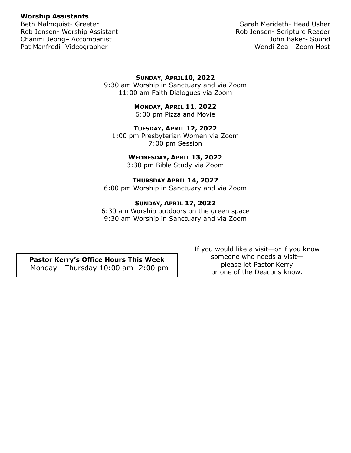#### **Worship Assistants**

Rob Jensen- Worship Assistant National Rob Jensen- Scripture Reader Chanmi Jeong– Accompanist John Baker- Sound Pat Manfredi- Videographer Wendi Zea - Zoom Host

Beth Malmquist- Greeter Sarah Merideth- Head Usher

#### **SUNDAY, APRIL10, 2022**

9:30 am Worship in Sanctuary and via Zoom 11:00 am Faith Dialogues via Zoom

#### **MONDAY, APRIL 11, 2022**

6:00 pm Pizza and Movie

#### **TUESDAY, APRIL 12, 2022**

1:00 pm Presbyterian Women via Zoom 7:00 pm Session

#### **WEDNESDAY, APRIL 13, 2022**

3:30 pm Bible Study via Zoom

#### **THURSDAY APRIL 14, 2022**

6:00 pm Worship in Sanctuary and via Zoom

#### **SUNDAY, APRIL 17, 2022**

6:30 am Worship outdoors on the green space 9:30 am Worship in Sanctuary and via Zoom

**Pastor Kerry's Office Hours This Week** Monday - Thursday 10:00 am- 2:00 pm If you would like a visit—or if you know someone who needs a visit please let Pastor Kerry or one of the Deacons know.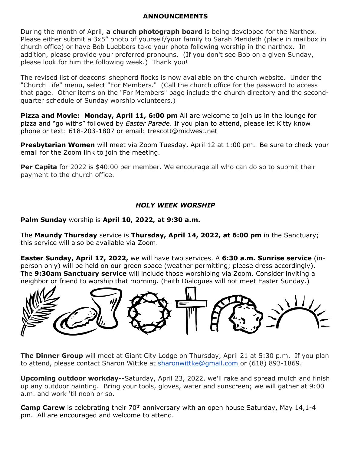#### **ANNOUNCEMENTS**

During the month of April, **a church photograph board** is being developed for the Narthex. Please either submit a 3x5" photo of yourself/your family to Sarah Merideth (place in mailbox in church office) or have Bob Luebbers take your photo following worship in the narthex. In addition, please provide your preferred pronouns. (If you don't see Bob on a given Sunday, please look for him the following week.) Thank you!

The revised list of deacons' shepherd flocks is now available on the church website. Under the "Church Life" menu, select "For Members." (Call the church office for the password to access that page. Other items on the "For Members" page include the church directory and the secondquarter schedule of Sunday worship volunteers.)

**Pizza and Movie: Monday, April 11, 6:00 pm** All are welcome to join us in the lounge for pizza and "go withs" followed by *Easter Parade*. If you plan to attend, please let Kitty know phone or text: 618-203-1807 or email: [trescott@midwest.net](mailto:trescott@midwest.net)

**Presbyterian Women** will meet via Zoom Tuesday, April 12 at 1:00 pm. Be sure to check your email for the Zoom link to join the meeting.

**Per Capita** for 2022 is \$40.00 per member. We encourage all who can do so to submit their payment to the church office.

# *HOLY WEEK WORSHIP*

**Palm Sunday** worship is **April 10, 2022, at 9:30 a.m.** 

The **Maundy Thursday** service is **Thursday, April 14, 2022, at 6:00 pm** in the Sanctuary; this service will also be available via Zoom.

**Easter Sunday, April 17, 2022,** we will have two services. A **6:30 a.m. Sunrise service** (inperson only) will be held on our green space (weather permitting; please dress accordingly). The **9:30am Sanctuary service** will include those worshiping via Zoom. Consider inviting a neighbor or friend to worship that morning. (Faith Dialogues will not meet Easter Sunday.)



**The Dinner Group** will meet at Giant City Lodge on Thursday, April 21 at 5:30 p.m. If you plan to attend, please contact Sharon Wittke at [sharonwittke@gmail.com](mailto:sharonwittke@gmail.com) or (618) 893-1869.

**Upcoming outdoor workday--**Saturday, April 23, 2022, we'll rake and spread mulch and finish up any outdoor painting. Bring your tools, gloves, water and sunscreen; we will gather at 9:00 a.m. and work 'til noon or so.

Camp Carew is celebrating their 70<sup>th</sup> anniversary with an open house Saturday, May 14,1-4 pm. All are encouraged and welcome to attend.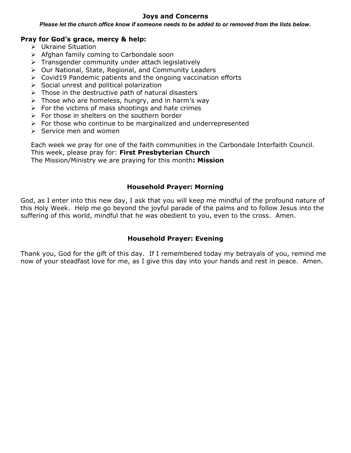#### **Joys and Concerns**

*Please let the church office know if someone needs to be added to or removed from the lists below*.

### **Pray for God's grace, mercy & help:**

- Ukraine Situation
- $\triangleright$  Afghan family coming to Carbondale soon
- $\triangleright$  Transgender community under attach legislatively
- Our National, State, Regional, and Community Leaders
- $\triangleright$  Covid19 Pandemic patients and the ongoing vaccination efforts
- $\triangleright$  Social unrest and political polarization
- $\triangleright$  Those in the destructive path of natural disasters
- $\triangleright$  Those who are homeless, hungry, and in harm's way
- $\triangleright$  For the victims of mass shootings and hate crimes
- $\triangleright$  For those in shelters on the southern border
- $\triangleright$  For those who continue to be marginalized and underrepresented
- $\triangleright$  Service men and women

Each week we pray for one of the faith communities in the Carbondale Interfaith Council. This week, please pray for: **First Presbyterian Church**  The Mission/Ministry we are praying for this month**: Mission**

#### **Household Prayer: Morning**

God, as I enter into this new day, I ask that you will keep me mindful of the profound nature of this Holy Week. Help me go beyond the joyful parade of the palms and to follow Jesus into the suffering of this world, mindful that he was obedient to you, even to the cross. Amen.

#### **Household Prayer: Evening**

Thank you, God for the gift of this day. If I remembered today my betrayals of you, remind me now of your steadfast love for me, as I give this day into your hands and rest in peace. Amen.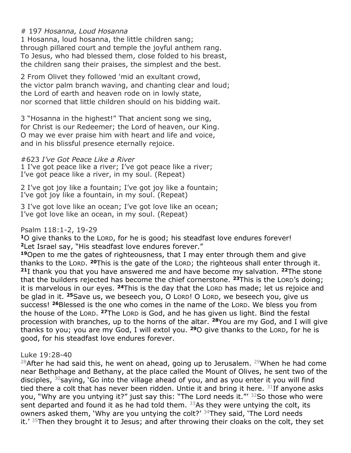# # 197 *Hosanna, Loud Hosanna*

1 Hosanna, loud hosanna, the little children sang; through pillared court and temple the joyful anthem rang. To Jesus, who had blessed them, close folded to his breast, the children sang their praises, the simplest and the best.

2 From Olivet they followed 'mid an exultant crowd, the victor palm branch waving, and chanting clear and loud; the Lord of earth and heaven rode on in lowly state, nor scorned that little children should on his bidding wait.

3 "Hosanna in the highest!" That ancient song we sing, for Christ is our Redeemer; the Lord of heaven, our King. O may we ever praise him with heart and life and voice, and in his blissful presence eternally rejoice.

#### #623 *I've Got Peace Like a River*

1 I've got peace like a river; I've got peace like a river; I've got peace like a river, in my soul. (Repeat)

2 I've got joy like a fountain; I've got joy like a fountain; I've got joy like a fountain, in my soul. (Repeat)

3 I've got love like an ocean; I've got love like an ocean; I've got love like an ocean, in my soul. (Repeat)

#### Psalm 118:1-2, 19-29

**<sup>1</sup>**O give thanks to the LORD, for he is good; his steadfast love endures forever! **<sup>2</sup>**Let Israel say, "His steadfast love endures forever."

**<sup>19</sup>**Open to me the gates of righteousness, that I may enter through them and give thanks to the LORD. **<sup>20</sup>**This is the gate of the LORD; the righteous shall enter through it. **<sup>21</sup>**I thank you that you have answered me and have become my salvation. **<sup>22</sup>**The stone that the builders rejected has become the chief cornerstone. **<sup>23</sup>**This is the LORD's doing; it is marvelous in our eyes. **<sup>24</sup>**This is the day that the LORD has made; let us rejoice and be glad in it. **<sup>25</sup>**Save us, we beseech you, O LORD! O LORD, we beseech you, give us success! **<sup>26</sup>**Blessed is the one who comes in the name of the LORD. We bless you from the house of the LORD. <sup>27</sup>The LORD is God, and he has given us light. Bind the festal procession with branches, up to the horns of the altar. **<sup>28</sup>**You are my God, and I will give thanks to you; you are my God, I will extol you. **<sup>29</sup>**O give thanks to the LORD, for he is good, for his steadfast love endures forever.

# Luke 19:28-40

 $28$ After he had said this, he went on ahead, going up to Jerusalem.  $29$ When he had come near Bethphage and Bethany, at the place called the Mount of Olives, he sent two of the disciples,  $30$  saying, 'Go into the village ahead of you, and as you enter it you will find tied there a colt that has never been ridden. Untie it and bring it here.  $31$ If anyone asks you, "Why are you untying it?" just say this: "The Lord needs it."' 32So those who were sent departed and found it as he had told them.  $33$ As they were untying the colt, its owners asked them, 'Why are you untying the colt?' <sup>34</sup>They said, 'The Lord needs it.' <sup>35</sup>Then they brought it to Jesus; and after throwing their cloaks on the colt, they set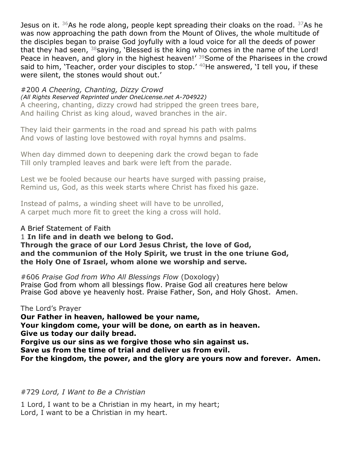Jesus on it.  $36$ As he rode along, people kept spreading their cloaks on the road.  $37$ As he was now approaching the path down from the Mount of Olives, the whole multitude of the disciples began to praise God joyfully with a loud voice for all the deeds of power that they had seen,  $38$  saying, 'Blessed is the king who comes in the name of the Lord! Peace in heaven, and glory in the highest heaven!' <sup>39</sup>Some of the Pharisees in the crowd said to him, 'Teacher, order your disciples to stop.'  $40$ He answered, 'I tell you, if these were silent, the stones would shout out.'

### #200 *A Cheering, Chanting, Dizzy Crowd*

*(All Rights Reserved Reprinted under OneLicense.net A-704922)* A cheering, chanting, dizzy crowd had stripped the green trees bare, And hailing Christ as king aloud, waved branches in the air.

They laid their garments in the road and spread his path with palms And vows of lasting love bestowed with royal hymns and psalms.

When day dimmed down to deepening dark the crowd began to fade Till only trampled leaves and bark were left from the parade.

Lest we be fooled because our hearts have surged with passing praise, Remind us, God, as this week starts where Christ has fixed his gaze.

Instead of palms, a winding sheet will have to be unrolled, A carpet much more fit to greet the king a cross will hold.

# A Brief Statement of Faith

# 1 **In life and in death we belong to God.**

**Through the grace of our Lord Jesus Christ, the love of God, and the communion of the Holy Spirit, we trust in the one triune God, the Holy One of Israel, whom alone we worship and serve***.*

#606 *Praise God from Who All Blessings Flow* (Doxology) Praise God from whom all blessings flow. Praise God all creatures here below Praise God above ye heavenly host. Praise Father, Son, and Holy Ghost. Amen.

# The Lord's Prayer

**Our Father in heaven, hallowed be your name,**

**Your kingdom come, your will be done, on earth as in heaven. Give us today our daily bread.**

**Forgive us our sins as we forgive those who sin against us.**

**Save us from the time of trial and deliver us from evil.**

**For the kingdom, the power, and the glory are yours now and forever. Amen.**

# #729 *Lord, I Want to Be a Christian*

1 Lord, I want to be a Christian in my heart, in my heart; Lord, I want to be a Christian in my heart.